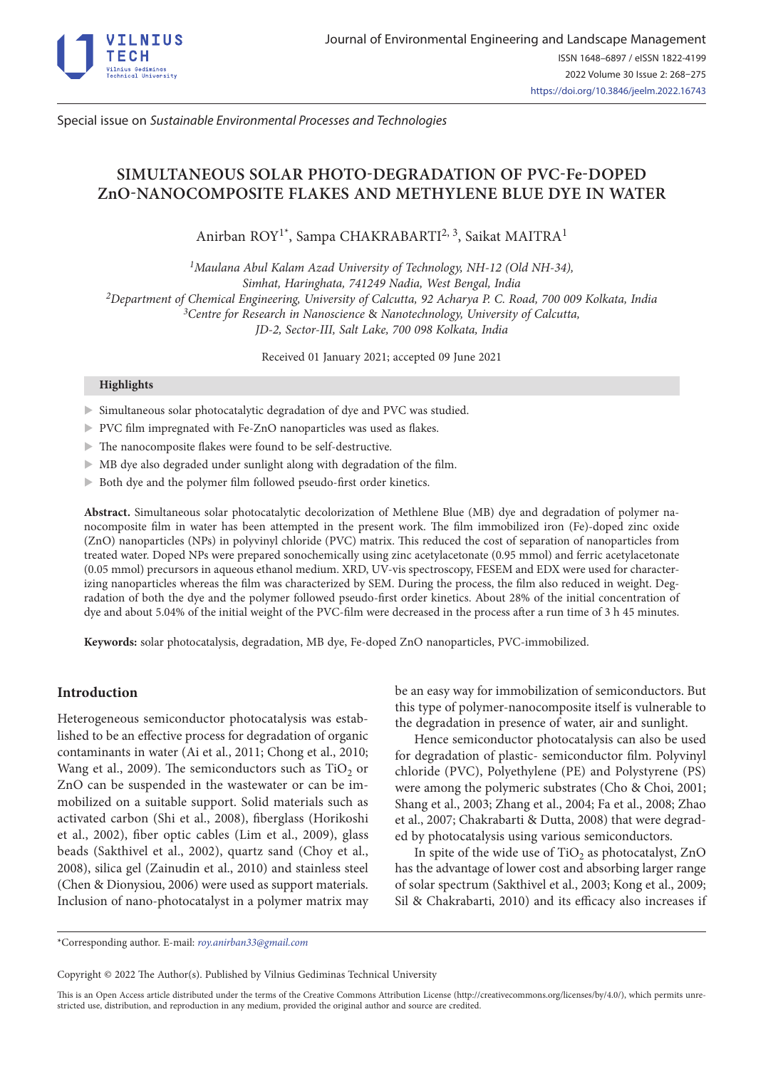

Special issue on *Sustainable Environmental Processes and Technologies*

# **SIMULTANEOUS SOLAR PHOTO-DEGRADATION OF PVC-Fe-DOPED ZnO-NANOCOMPOSITE FLAKES AND METHYLENE BLUE DYE IN WATER**

Anirban ROY<sup>1\*</sup>, Sampa CHAKRABARTI<sup>2, 3</sup>, Saikat MAITRA<sup>1</sup>

*1Maulana Abul Kalam Azad University of Technology, NH-12 (Old NH-34), Simhat, Haringhata, 741249 Nadia, West Bengal, India 2Department of Chemical Engineering, University of Calcutta, 92 Acharya P. C. Road, 700 009 Kolkata, India 3Centre for Research in Nanoscience* & *Nanotechnology, University of Calcutta, JD-2, Sector-III, Salt Lake, 700 098 Kolkata, India*

Received 01 January 2021; accepted 09 June 2021

#### **Highlights**

- X Simultaneous solar photocatalytic degradation of dye and PVC was studied.
- $\triangleright$  PVC film impregnated with Fe-ZnO nanoparticles was used as flakes.
- $\blacktriangleright$  The nanocomposite flakes were found to be self-destructive.
- $\blacktriangleright$  MB dye also degraded under sunlight along with degradation of the film.
- $\blacktriangleright$  Both dye and the polymer film followed pseudo-first order kinetics.

**Abstract.** Simultaneous solar photocatalytic decolorization of Methlene Blue (MB) dye and degradation of polymer nanocomposite film in water has been attempted in the present work. The film immobilized iron (Fe)-doped zinc oxide (ZnO) nanoparticles (NPs) in polyvinyl chloride (PVC) matrix. This reduced the cost of separation of nanoparticles from treated water. Doped NPs were prepared sonochemically using zinc acetylacetonate (0.95 mmol) and ferric acetylacetonate (0.05 mmol) precursors in aqueous ethanol medium. XRD, UV-vis spectroscopy, FESEM and EDX were used for characterizing nanoparticles whereas the film was characterized by SEM. During the process, the film also reduced in weight. Degradation of both the dye and the polymer followed pseudo-first order kinetics. About 28% of the initial concentration of dye and about 5.04% of the initial weight of the PVC-film were decreased in the process after a run time of 3 h 45 minutes.

**Keywords:** solar photocatalysis, degradation, MB dye, Fe-doped ZnO nanoparticles, PVC-immobilized.

# **Introduction**

Heterogeneous semiconductor photocatalysis was established to be an effective process for degradation of organic contaminants in water (Ai et al., 2011; Chong et al., 2010; Wang et al., 2009). The semiconductors such as  $TiO<sub>2</sub>$  or ZnO can be suspended in the wastewater or can be immobilized on a suitable support. Solid materials such as activated carbon (Shi et al., 2008), fiberglass (Horikoshi et al., 2002), fiber optic cables (Lim et al., 2009), glass beads (Sakthivel et al., 2002), quartz sand (Choy et al., 2008), silica gel (Zainudin et al., 2010) and stainless steel (Chen & Dionysiou, 2006) were used as support materials. Inclusion of nano-photocatalyst in a polymer matrix may be an easy way for immobilization of semiconductors. But this type of polymer-nanocomposite itself is vulnerable to the degradation in presence of water, air and sunlight.

Hence semiconductor photocatalysis can also be used for degradation of plastic- semiconductor film. Polyvinyl chloride (PVC), Polyethylene (PE) and Polystyrene (PS) were among the polymeric substrates (Cho & Choi, 2001; Shang et al., 2003; Zhang et al., 2004; Fa et al., 2008; Zhao et al., 2007; Chakrabarti & Dutta, 2008) that were degraded by photocatalysis using various semiconductors.

In spite of the wide use of  $TiO<sub>2</sub>$  as photocatalyst, ZnO has the advantage of lower cost and absorbing larger range of solar spectrum (Sakthivel et al., 2003; Kong et al., 2009; Sil & Chakrabarti, 2010) and its efficacy also increases if

\*Corresponding author. E-mail: *[roy.anirban33@gmail.com](mailto:roy.anirban33@gmail.com)*

Copyright © 2022 The Author(s). Published by Vilnius Gediminas Technical University

This is an Open Access article distributed under the terms of the Creative Commons Attribution License [\(http://creativecommons.org/licenses/by/4.0/](http://creativecommons.org/licenses/by/4.0/)), which permits unrestricted use, distribution, and reproduction in any medium, provided the original author and source are credited.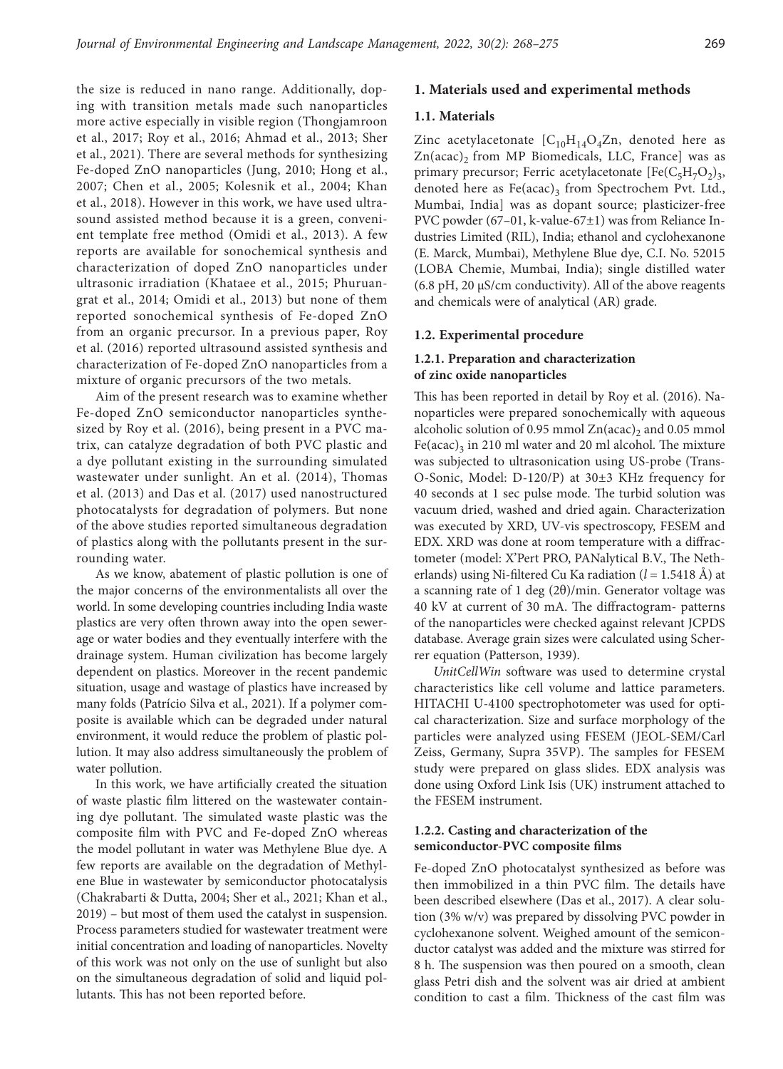the size is reduced in nano range. Additionally, doping with transition metals made such nanoparticles more active especially in visible region (Thongjamroon et al., 2017; Roy et al., 2016; Ahmad et al., 2013; Sher et al., 2021). There are several methods for synthesizing Fe-doped ZnO nanoparticles (Jung, 2010; Hong et al., 2007; Chen et al., 2005; Kolesnik et al., 2004; Khan et al., 2018). However in this work, we have used ultrasound assisted method because it is a green, convenient template free method (Omidi et al., 2013). A few reports are available for sonochemical synthesis and characterization of doped ZnO nanoparticles under ultrasonic irradiation (Khataee et al., 2015; Phuruangrat et al., 2014; Omidi et al., 2013) but none of them reported sonochemical synthesis of Fe-doped ZnO from an organic precursor. In a previous paper, Roy et al. (2016) reported ultrasound assisted synthesis and characterization of Fe-doped ZnO nanoparticles from a mixture of organic precursors of the two metals.

Aim of the present research was to examine whether Fe-doped ZnO semiconductor nanoparticles synthesized by Roy et al. (2016), being present in a PVC matrix, can catalyze degradation of both PVC plastic and a dye pollutant existing in the surrounding simulated wastewater under sunlight. An et al. (2014), Thomas et al. (2013) and Das et al. (2017) used nanostructured photocatalysts for degradation of polymers. But none of the above studies reported simultaneous degradation of plastics along with the pollutants present in the surrounding water.

As we know, abatement of plastic pollution is one of the major concerns of the environmentalists all over the world. In some developing countries including India waste plastics are very often thrown away into the open sewerage or water bodies and they eventually interfere with the drainage system. Human civilization has become largely dependent on plastics. Moreover in the recent pandemic situation, usage and wastage of plastics have increased by many folds (Patrício Silva et al., 2021). If a polymer composite is available which can be degraded under natural environment, it would reduce the problem of plastic pollution. It may also address simultaneously the problem of water pollution.

In this work, we have artificially created the situation of waste plastic film littered on the wastewater containing dye pollutant. The simulated waste plastic was the composite film with PVC and Fe-doped ZnO whereas the model pollutant in water was Methylene Blue dye. A few reports are available on the degradation of Methylene Blue in wastewater by semiconductor photocatalysis (Chakrabarti & Dutta, 2004; Sher et al., 2021; Khan et al., 2019) – but most of them used the catalyst in suspension. Process parameters studied for wastewater treatment were initial concentration and loading of nanoparticles. Novelty of this work was not only on the use of sunlight but also on the simultaneous degradation of solid and liquid pollutants. This has not been reported before.

# **1. Materials used and experimental methods**

#### **1.1. Materials**

Zinc acetylacetonate  $[C_{10}H_{14}O_4Zn,$  denoted here as  $Zn(acac)$ , from MP Biomedicals, LLC, France] was as primary precursor; Ferric acetylacetonate  $[Fe(C_5H_7O_2)_3,$ denoted here as  $Fe (acac)_3$  from Spectrochem Pvt. Ltd., Mumbai, India] was as dopant source; plasticizer-free PVC powder (67–01, k-value-67±1) was from Reliance Industries Limited (RIL), India; ethanol and cyclohexanone (E. Marck, Mumbai), Methylene Blue dye, C.I. No. 52015 (LOBA Chemie, Mumbai, India); single distilled water (6.8 pH, 20 μS/cm conductivity). All of the above reagents and chemicals were of analytical (AR) grade.

### **1.2. Experimental procedure**

# **1.2.1. Preparation and characterization of zinc oxide nanoparticles**

This has been reported in detail by Roy et al. (2016). Nanoparticles were prepared sonochemically with aqueous alcoholic solution of 0.95 mmol  $Zn(acac)$ <sub>2</sub> and 0.05 mmol Fe(acac)<sub>3</sub> in 210 ml water and 20 ml alcohol. The mixture was subjected to ultrasonication using US-probe (Trans-O-Sonic, Model: D-120/P) at 30±3 KHz frequency for 40 seconds at 1 sec pulse mode. The turbid solution was vacuum dried, washed and dried again. Characterization was executed by XRD, UV-vis spectroscopy, FESEM and EDX. XRD was done at room temperature with a diffractometer (model: X'Pert PRO, PANalytical B.V., The Netherlands) using Ni-filtered Cu Ka radiation (*l* = 1.5418 Å) at a scanning rate of 1 deg  $(2\theta)/\text{min}$ . Generator voltage was 40 kV at current of 30 mA. The diffractogram- patterns of the nanoparticles were checked against relevant JCPDS database. Average grain sizes were calculated using Scherrer equation (Patterson, 1939).

*UnitCellWin* software was used to determine crystal characteristics like cell volume and lattice parameters. HITACHI U-4100 spectrophotometer was used for optical characterization. Size and surface morphology of the particles were analyzed using FESEM (JEOL-SEM/Carl Zeiss, Germany, Supra 35VP). The samples for FESEM study were prepared on glass slides. EDX analysis was done using Oxford Link Isis (UK) instrument attached to the FESEM instrument.

### **1.2.2. Casting and characterization of the semiconductor-PVC composite films**

Fe-doped ZnO photocatalyst synthesized as before was then immobilized in a thin PVC film. The details have been described elsewhere (Das et al., 2017). A clear solution (3% w/v) was prepared by dissolving PVC powder in cyclohexanone solvent. Weighed amount of the semiconductor catalyst was added and the mixture was stirred for 8 h. The suspension was then poured on a smooth, clean glass Petri dish and the solvent was air dried at ambient condition to cast a film. Thickness of the cast film was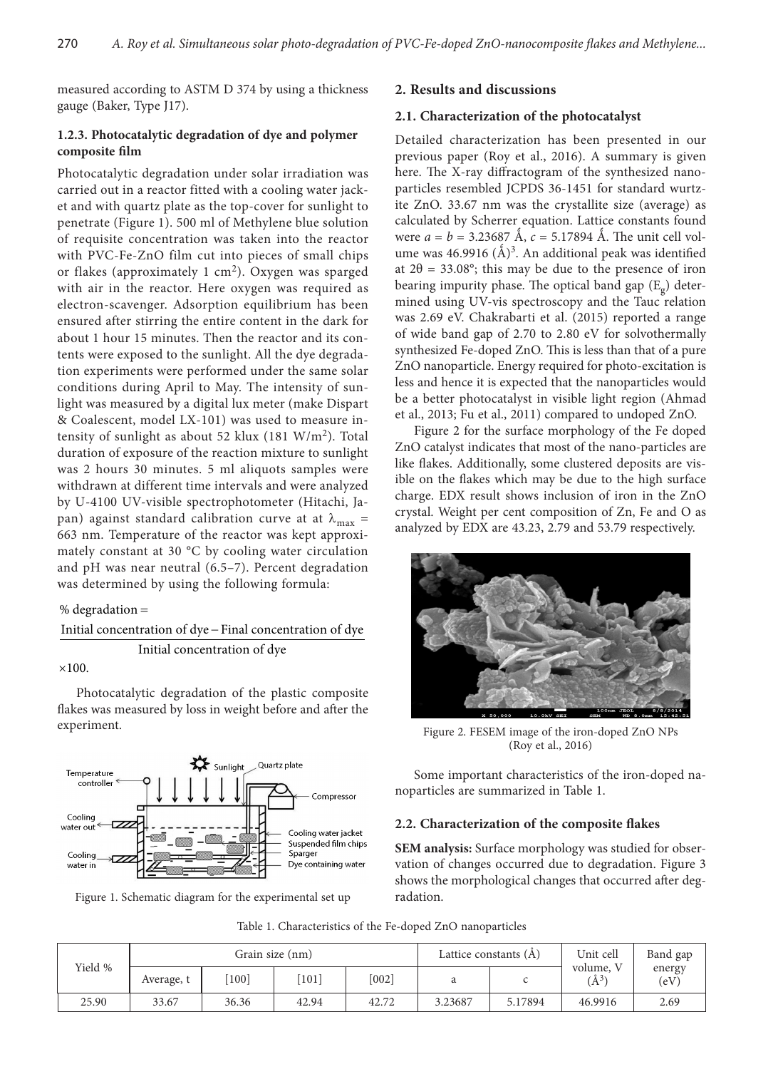measured according to ASTM D 374 by using a thickness gauge (Baker, Type J17).

# **1.2.3. Photocatalytic degradation of dye and polymer composite film**

Photocatalytic degradation under solar irradiation was carried out in a reactor fitted with a cooling water jacket and with quartz plate as the top-cover for sunlight to penetrate (Figure 1). 500 ml of Methylene blue solution of requisite concentration was taken into the reactor with PVC-Fe-ZnO film cut into pieces of small chips or flakes (approximately 1 cm<sup>2</sup>). Oxygen was sparged with air in the reactor. Here oxygen was required as electron-scavenger. Adsorption equilibrium has been ensured after stirring the entire content in the dark for about 1 hour 15 minutes. Then the reactor and its contents were exposed to the sunlight. All the dye degradation experiments were performed under the same solar conditions during April to May. The intensity of sunlight was measured by a digital lux meter (make Dispart & Coalescent, model LX-101) was used to measure intensity of sunlight as about 52 klux (181  $W/m<sup>2</sup>$ ). Total duration of exposure of the reaction mixture to sunlight was 2 hours 30 minutes. 5 ml aliquots samples were withdrawn at different time intervals and were analyzed by U-4100 UV-visible spectrophotometer (Hitachi, Japan) against standard calibration curve at at  $\lambda_{\text{max}} =$ 663 nm. Temperature of the reactor was kept approximately constant at 30 °C by cooling water circulation and pH was near neutral (6.5–7). Percent degradation was determined by using the following formula:

# % degradation =

Initial concentration of dye - Final concentration of dye Initial concentration of dye

 $\times 100.$ 

Photocatalytic degradation of the plastic composite flakes was measured by loss in weight before and after the experiment.



Figure 1. Schematic diagram for the experimental set up

# **2. Results and discussions**

### **2.1. Characterization of the photocatalyst**

Detailed characterization has been presented in our previous paper (Roy et al., 2016). A summary is given here. The X-ray diffractogram of the synthesized nanoparticles resembled JCPDS 36-1451 for standard wurtzite ZnO. 33.67 nm was the crystallite size (average) as calculated by Scherrer equation. Lattice constants found were  $a = b = 3.23687 \text{ Å}$ ,  $c = 5.17894 \text{ Å}$ . The unit cell volume was 46.9916  $(\AA)^3$ . An additional peak was identified at  $2\theta = 33.08^\circ$ ; this may be due to the presence of iron bearing impurity phase. The optical band gap  $(E_g)$  determined using UV-vis spectroscopy and the Tauc relation was 2.69 eV. Chakrabarti et al. (2015) reported a range of wide band gap of 2.70 to 2.80 eV for solvothermally synthesized Fe-doped ZnO. This is less than that of a pure ZnO nanoparticle. Energy required for photo-excitation is less and hence it is expected that the nanoparticles would be a better photocatalyst in visible light region (Ahmad et al., 2013; Fu et al., 2011) compared to undoped ZnO.

Figure 2 for the surface morphology of the Fe doped ZnO catalyst indicates that most of the nano-particles are like flakes. Additionally, some clustered deposits are visible on the flakes which may be due to the high surface charge. EDX result shows inclusion of iron in the ZnO crystal. Weight per cent composition of Zn, Fe and O as analyzed by EDX are 43.23, 2.79 and 53.79 respectively.



Figure 2. FESEM image of the iron-doped ZnO NPs (Roy et al., 2016)

Some important characteristics of the iron-doped nanoparticles are summarized in Table 1.

#### **2.2. Characterization of the composite flakes**

**SEM analysis:** Surface morphology was studied for observation of changes occurred due to degradation. Figure 3 shows the morphological changes that occurred after degradation.

| Yield % | Grain size (nm) |       |                     |       | Lattice constants $(\AA)$ |         | Unit cell            | Band gap       |
|---------|-----------------|-------|---------------------|-------|---------------------------|---------|----------------------|----------------|
|         | Average, t      | 100]  | $\lceil 101 \rceil$ | [002] |                           |         | volume,<br>$\AA^{3}$ | energy<br>(eV) |
| 25.90   | 33.67           | 36.36 | 42.94               | 42.72 | 3.23687                   | 5.17894 | 46.9916              | 2.69           |

Table 1. Characteristics of the Fe-doped ZnO nanoparticles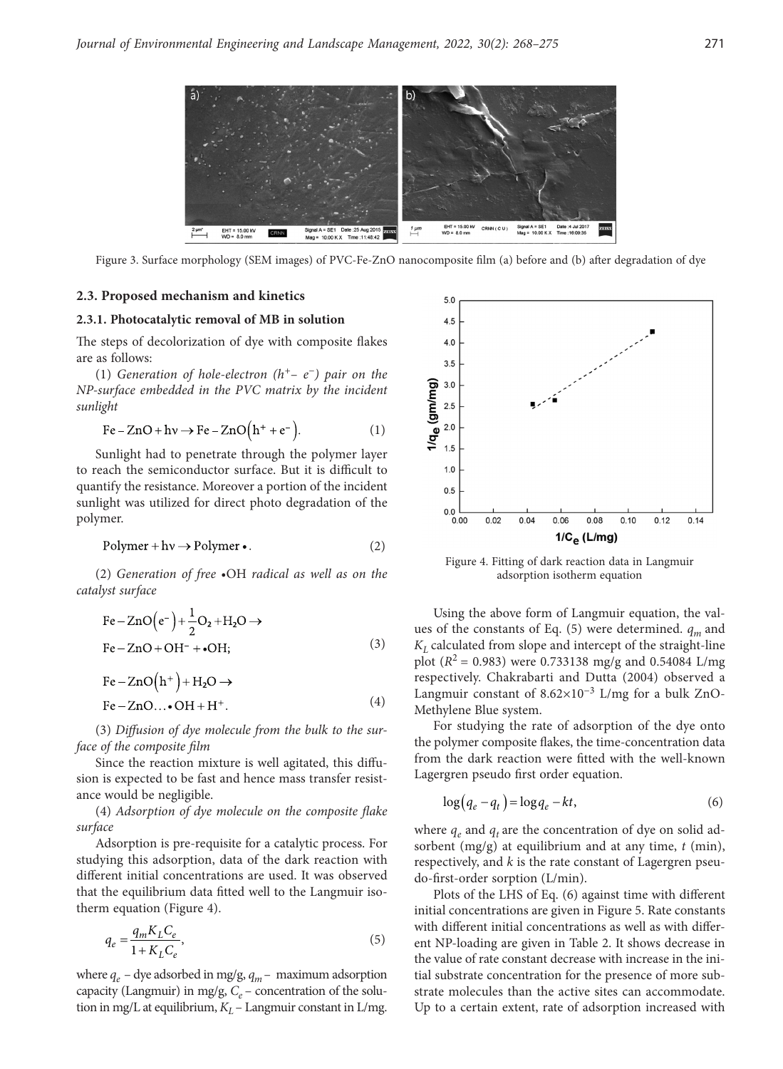

Figure 3. Surface morphology (SEM images) of PVC-Fe-ZnO nanocomposite film (a) before and (b) after degradation of dye

### **2.3. Proposed mechanism and kinetics**

#### **2.3.1. Photocatalytic removal of MB in solution**

The steps of decolorization of dye with composite flakes are as follows:

(1) *Generation of hole-electron (h+*– *e*−*) pair on the NP-surface embedded in the PVC matrix by the incident sunlight*

$$
Fe - ZnO + hv \rightarrow Fe - ZnO(h^+ + e^-).
$$
 (1)

Sunlight had to penetrate through the polymer layer to reach the semiconductor surface. But it is difficult to quantify the resistance. Moreover a portion of the incident sunlight was utilized for direct photo degradation of the polymer.

$$
Polymer + hv \to Polymer \bullet. \tag{2}
$$

(2) *Generation of free •*OH *radical as well as on the catalyst surface*

$$
\text{Fe}-\text{ZnO}(e^-)+\frac{1}{2}\text{O}_2+\text{H}_2\text{O}\rightarrow
$$
  
\n
$$
\text{Fe}-\text{ZnO}+\text{OH}^- + \bullet \text{OH};
$$
 (3)

$$
Fe - ZnO(h^{+}) + H_{2}O \rightarrow
$$
  
Fe - ZnO...•OH + H<sup>+</sup>. (4)

(3) *Diffusion of dye molecule from the bulk to the surface of the composite film*

Since the reaction mixture is well agitated, this diffusion is expected to be fast and hence mass transfer resistance would be negligible.

(4) *Adsorption of dye molecule on the composite flake surface*

Adsorption is pre-requisite for a catalytic process. For studying this adsorption, data of the dark reaction with different initial concentrations are used. It was observed that the equilibrium data fitted well to the Langmuir isotherm equation (Figure 4).

$$
q_e = \frac{q_m K_L C_e}{1 + K_L C_e},\tag{5}
$$

where  $q_e$  – dye adsorbed in mg/g,  $q_m$ – maximum adsorption capacity (Langmuir) in mg/g,  $C_e$  – concentration of the solution in mg/L at equilibrium,  $K_L$  – Langmuir constant in L/mg.



Figure 4. Fitting of dark reaction data in Langmuir adsorption isotherm equation

Using the above form of Langmuir equation, the values of the constants of Eq. (5) were determined.  $q_m$  and  $K<sub>I</sub>$  calculated from slope and intercept of the straight-line plot ( $R^2$  = 0.983) were 0.733138 mg/g and 0.54084 L/mg respectively. Chakrabarti and Dutta (2004) observed a Langmuir constant of  $8.62 \times 10^{-3}$  L/mg for a bulk ZnO-Methylene Blue system.

For studying the rate of adsorption of the dye onto the polymer composite flakes, the time-concentration data from the dark reaction were fitted with the well-known Lagergren pseudo first order equation.

$$
\log(q_e - q_t) = \log q_e - kt,\tag{6}
$$

where  $q_e$  and  $q_t$  are the concentration of dye on solid adsorbent (mg/g) at equilibrium and at any time, *t* (min), respectively, and *k* is the rate constant of Lagergren pseudo-first-order sorption (L/min).

Plots of the LHS of Eq. (6) against time with different initial concentrations are given in Figure 5. Rate constants with different initial concentrations as well as with different NP-loading are given in Table 2. It shows decrease in the value of rate constant decrease with increase in the initial substrate concentration for the presence of more substrate molecules than the active sites can accommodate. Up to a certain extent, rate of adsorption increased with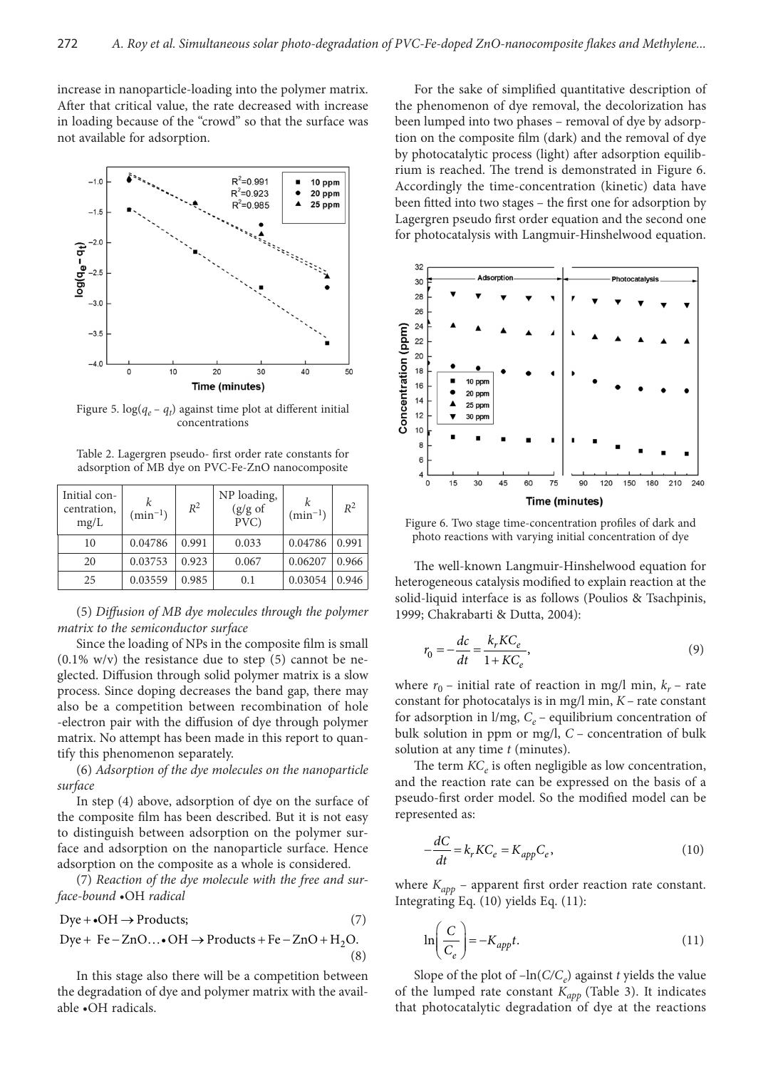increase in nanoparticle-loading into the polymer matrix. After that critical value, the rate decreased with increase in loading because of the "crowd" so that the surface was not available for adsorption.



Figure 5.  $log(q_e - q_t)$  against time plot at different initial concentrations

Table 2. Lagergren pseudo- first order rate constants for adsorption of MB dye on PVC-Fe-ZnO nanocomposite

| Initial con-<br>centration,<br>mg/L | $\sin^{-1}$ | $R^2$ | NP loading,<br>$(g/g \text{ of }$<br>$\overline{PVC}$ | $\sin^{-1}$ | $R^2$ |
|-------------------------------------|-------------|-------|-------------------------------------------------------|-------------|-------|
| 10                                  | 0.04786     | 0.991 | 0.033                                                 | 0.04786     | 0.991 |
| 20                                  | 0.03753     | 0.923 | 0.067                                                 | 0.06207     | 0.966 |
| 25                                  | 0.03559     | 0.985 | 0.1                                                   | 0.03054     | 0.946 |

(5) *Diffusion of MB dye molecules through the polymer matrix to the semiconductor surface*

Since the loading of NPs in the composite film is small  $(0.1\% \text{ w/v})$  the resistance due to step  $(5)$  cannot be neglected. Diffusion through solid polymer matrix is a slow process. Since doping decreases the band gap, there may also be a competition between recombination of hole -electron pair with the diffusion of dye through polymer matrix. No attempt has been made in this report to quantify this phenomenon separately.

(6) *Adsorption of the dye molecules on the nanoparticle surface*

In step (4) above, adsorption of dye on the surface of the composite film has been described. But it is not easy to distinguish between adsorption on the polymer surface and adsorption on the nanoparticle surface. Hence adsorption on the composite as a whole is considered.

(7) *Reaction of the dye molecule with the free and surface-bound* •OH *radical*

$$
Dye + \bullet OH \to Products;
$$
 (7)

$$
Dye + Fe - ZnO... \bullet OH \rightarrow Products + Fe - ZnO + H2O.
$$
\n(8)

In this stage also there will be a competition between the degradation of dye and polymer matrix with the available •OH radicals.

For the sake of simplified quantitative description of the phenomenon of dye removal, the decolorization has been lumped into two phases – removal of dye by adsorption on the composite film (dark) and the removal of dye by photocatalytic process (light) after adsorption equilibrium is reached. The trend is demonstrated in Figure 6. Accordingly the time-concentration (kinetic) data have been fitted into two stages – the first one for adsorption by Lagergren pseudo first order equation and the second one for photocatalysis with Langmuir-Hinshelwood equation.



Figure 6. Two stage time-concentration profiles of dark and photo reactions with varying initial concentration of dye

The well-known Langmuir-Hinshelwood equation for heterogeneous catalysis modified to explain reaction at the solid-liquid interface is as follows (Poulios & Tsachpinis, 1999; Chakrabarti & Dutta, 2004):

$$
r_0 = -\frac{dc}{dt} = \frac{k_r K C_e}{1 + K C_e},\tag{9}
$$

where  $r_0$  – initial rate of reaction in mg/l min,  $k_r$  – rate constant for photocatalys is in mg/l min, *K* – rate constant for adsorption in  $1/mg$ ,  $C_e$  – equilibrium concentration of bulk solution in ppm or mg/l, *C* – concentration of bulk solution at any time *t* (minutes).

The term  $KC<sub>e</sub>$  is often negligible as low concentration, and the reaction rate can be expressed on the basis of a pseudo-first order model. So the modified model can be represented as:

$$
-\frac{dC}{dt} = k_r K C_e = K_{app} C_e, \qquad (10)
$$

where  $K_{app}$  – apparent first order reaction rate constant. Integrating Eq. (10) yields Eq. (11):

$$
\ln\left(\frac{C}{C_e}\right) = -K_{app}t.\tag{11}
$$

Slope of the plot of  $-\ln(C/C_e)$  against *t* yields the value of the lumped rate constant *Kapp* (Table 3). It indicates that photocatalytic degradation of dye at the reactions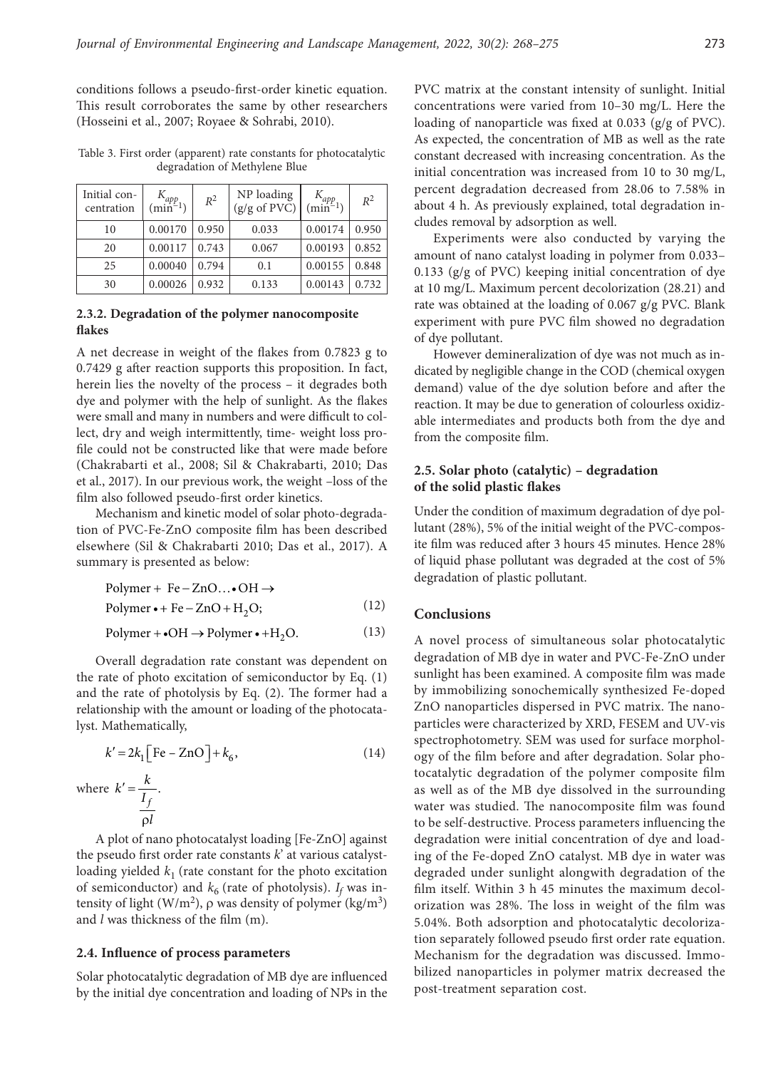conditions follows a pseudo-first-order kinetic equation. This result corroborates the same by other researchers (Hosseini et al., 2007; Royaee & Sohrabi, 2010).

Table 3. First order (apparent) rate constants for photocatalytic degradation of Methylene Blue

| Initial con-<br>centration | $\min^{\{1\}}(1)$ | $R^2$ | NP loading<br>$(g/g \text{ of } PV\check{C})$ | $\binom{1 \text{app}}{min^{-1}}$ | $R^2$ |
|----------------------------|-------------------|-------|-----------------------------------------------|----------------------------------|-------|
| 10                         | 0.00170           | 0.950 | 0.033                                         | 0.00174                          | 0.950 |
| 20                         | 0.00117           | 0.743 | 0.067                                         | 0.00193                          | 0.852 |
| 25                         | 0.00040           | 0.794 | 0.1                                           | 0.00155                          | 0.848 |
| 30                         | 0.00026           | 0.932 | 0.133                                         | 0.00143                          | 0.732 |

#### **2.3.2. Degradation of the polymer nanocomposite flakes**

A net decrease in weight of the flakes from 0.7823 g to 0.7429 g after reaction supports this proposition. In fact, herein lies the novelty of the process – it degrades both dye and polymer with the help of sunlight. As the flakes were small and many in numbers and were difficult to collect, dry and weigh intermittently, time- weight loss profile could not be constructed like that were made before (Chakrabarti et al., 2008; Sil & Chakrabarti, 2010; Das et al., 2017). In our previous work, the weight –loss of the film also followed pseudo-first order kinetics.

Mechanism and kinetic model of solar photo-degradation of PVC-Fe-ZnO composite film has been described elsewhere (Sil & Chakrabarti 2010; Das et al., 2017). A summary is presented as below:

Polymer • + Fe – ZnO + H<sub>2</sub>O; (12)  $Polymer + Fe - ZnO... \bullet OH \rightarrow$ 

 $\text{Polymer} + \text{OH} \rightarrow \text{Polymer} \cdot + \text{H}_2\text{O}.$  (13)

Overall degradation rate constant was dependent on the rate of photo excitation of semiconductor by Eq. (1) and the rate of photolysis by Eq. (2). The former had a relationship with the amount or loading of the photocatalyst. Mathematically,

$$
k' = 2k_1 \left[ \text{Fe} - \text{ZnO} \right] + k_6,
$$
\nwhere 
$$
k' = \frac{k}{\frac{I_f}{\rho l}}.
$$

\n(14)

A plot of nano photocatalyst loading [Fe-ZnO] against the pseudo first order rate constants *k*' at various catalystloading yielded  $k_1$  (rate constant for the photo excitation of semiconductor) and  $k_6$  (rate of photolysis).  $I_f$  was intensity of light (W/m<sup>2</sup>),  $\rho$  was density of polymer (kg/m<sup>3</sup>) and *l* was thickness of the film (m).

# **2.4. Influence of process parameters**

Solar photocatalytic degradation of MB dye are influenced by the initial dye concentration and loading of NPs in the PVC matrix at the constant intensity of sunlight. Initial concentrations were varied from 10–30 mg/L. Here the loading of nanoparticle was fixed at 0.033 (g/g of PVC). As expected, the concentration of MB as well as the rate constant decreased with increasing concentration. As the initial concentration was increased from 10 to 30 mg/L, percent degradation decreased from 28.06 to 7.58% in about 4 h. As previously explained, total degradation includes removal by adsorption as well.

Experiments were also conducted by varying the amount of nano catalyst loading in polymer from 0.033– 0.133 (g/g of PVC) keeping initial concentration of dye at 10 mg/L. Maximum percent decolorization (28.21) and rate was obtained at the loading of 0.067 g/g PVC. Blank experiment with pure PVC film showed no degradation of dye pollutant.

However demineralization of dye was not much as indicated by negligible change in the COD (chemical oxygen demand) value of the dye solution before and after the reaction. It may be due to generation of colourless oxidizable intermediates and products both from the dye and from the composite film.

# **2.5. Solar photo (catalytic) – degradation of the solid plastic flakes**

Under the condition of maximum degradation of dye pollutant (28%), 5% of the initial weight of the PVC-composite film was reduced after 3 hours 45 minutes. Hence 28% of liquid phase pollutant was degraded at the cost of 5% degradation of plastic pollutant.

# **Conclusions**

A novel process of simultaneous solar photocatalytic degradation of MB dye in water and PVC-Fe-ZnO under sunlight has been examined. A composite film was made by immobilizing sonochemically synthesized Fe-doped ZnO nanoparticles dispersed in PVC matrix. The nanoparticles were characterized by XRD, FESEM and UV-vis spectrophotometry. SEM was used for surface morphology of the film before and after degradation. Solar photocatalytic degradation of the polymer composite film as well as of the MB dye dissolved in the surrounding water was studied. The nanocomposite film was found to be self-destructive. Process parameters influencing the degradation were initial concentration of dye and loading of the Fe-doped ZnO catalyst. MB dye in water was degraded under sunlight alongwith degradation of the film itself. Within 3 h 45 minutes the maximum decolorization was 28%. The loss in weight of the film was 5.04%. Both adsorption and photocatalytic decolorization separately followed pseudo first order rate equation. Mechanism for the degradation was discussed. Immobilized nanoparticles in polymer matrix decreased the post-treatment separation cost.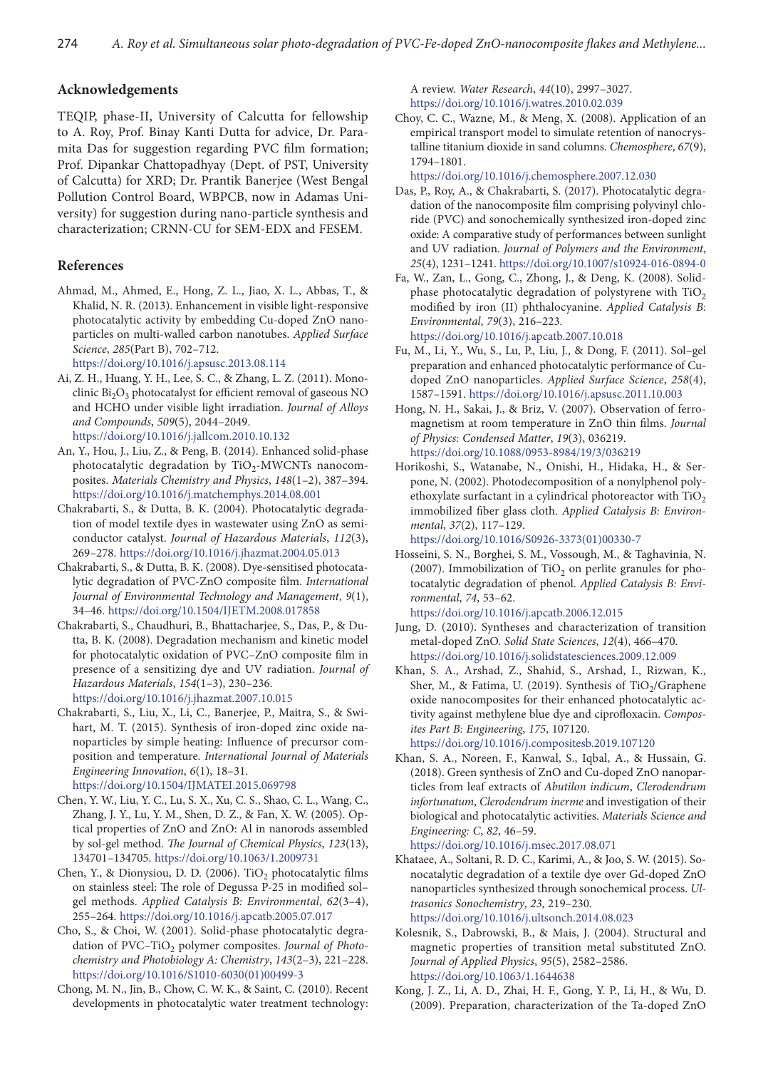# **Acknowledgements**

TEQIP, phase-II, University of Calcutta for fellowship to A. Roy, Prof. Binay Kanti Dutta for advice, Dr. Paramita Das for suggestion regarding PVC film formation; Prof. Dipankar Chattopadhyay (Dept. of PST, University of Calcutta) for XRD; Dr. Prantik Banerjee (West Bengal Pollution Control Board, WBPCB, now in Adamas University) for suggestion during nano-particle synthesis and characterization; CRNN-CU for SEM-EDX and FESEM.

#### **References**

- Ahmad, M., Ahmed, E., Hong, Z. L., Jiao, X. L., Abbas, T., & Khalid, N. R. (2013). Enhancement in visible light-responsive photocatalytic activity by embedding Cu-doped ZnO nanoparticles on multi-walled carbon nanotubes. *Applied Surface Science*, *285*(Part B), 702–712. <https://doi.org/10.1016/j.apsusc.2013.08.114>
- Ai, Z. H., Huang, Y. H., Lee, S. C., & Zhang, L. Z. (2011). Monoclinic Bi<sub>2</sub>O<sub>3</sub> photocatalyst for efficient removal of gaseous NO and HCHO under visible light irradiation. *Journal of Alloys and Compounds*, *509*(5), 2044–2049. <https://doi.org/10.1016/j.jallcom.2010.10.132>
- An, Y., Hou, J., Liu, Z., & Peng, B. (2014). Enhanced solid-phase photocatalytic degradation by  $TiO<sub>2</sub>-MWCNTs$  nanocomposites. *Materials Chemistry and Physics*, *148*(1–2), 387–394. <https://doi.org/10.1016/j.matchemphys.2014.08.001>
- Chakrabarti, S., & Dutta, B. K. (2004). Photocatalytic degradation of model textile dyes in wastewater using ZnO as semiconductor catalyst. *Journal of Hazardous Materials*, *112*(3), 269–278. <https://doi.org/10.1016/j.jhazmat.2004.05.013>
- Chakrabarti, S., & Dutta, B. K. (2008). Dye-sensitised photocatalytic degradation of PVC-ZnO composite film. *International Journal of Environmental Technology and Management*, *9*(1), 34–46. <https://doi.org/10.1504/IJETM.2008.017858>
- Chakrabarti, S., Chaudhuri, B., Bhattacharjee, S., Das, P., & Dutta, B. K. (2008). Degradation mechanism and kinetic model for photocatalytic oxidation of PVC–ZnO composite film in presence of a sensitizing dye and UV radiation. *Journal of Hazardous Materials*, *154*(1–3), 230–236.

<https://doi.org/10.1016/j.jhazmat.2007.10.015>

- Chakrabarti, S., Liu, X., Li, C., Banerjee, P., Maitra, S., & Swihart, M. T. (2015). Synthesis of iron-doped zinc oxide nanoparticles by simple heating: Influence of precursor composition and temperature. *International Journal of Materials Engineering Innovation*, *6*(1), 18–31. <https://doi.org/10.1504/IJMATEI.2015.069798>
- Chen, Y. W., Liu, Y. C., Lu, S. X., Xu, C. S., Shao, C. L., Wang, C., Zhang, J. Y., Lu, Y. M., Shen, D. Z., & Fan, X. W. (2005). Optical properties of ZnO and ZnO: Al in nanorods assembled by sol-gel method. *The Journal of Chemical Physics*, *123*(13), 134701–134705. <https://doi.org/10.1063/1.2009731>
- Chen, Y., & Dionysiou, D. D. (2006). TiO<sub>2</sub> photocatalytic films on stainless steel: The role of Degussa P-25 in modified sol– gel methods. *Applied Catalysis B: Environmental*, *62*(3–4), 255–264. <https://doi.org/10.1016/j.apcatb.2005.07.017>
- Cho, S., & Choi, W. (2001). Solid-phase photocatalytic degradation of PVC-TiO<sub>2</sub> polymer composites. Journal of Photo*chemistry and Photobiology A: Chemistry*, *143*(2–3), 221–228. [https://doi.org/10.1016/S1010-6030\(01\)00499-3](https://doi.org/10.1016/S1010-6030(01)00499-3)
- Chong, M. N., Jin, B., Chow, C. W. K., & Saint, C. (2010). Recent developments in photocatalytic water treatment technology:

A review. *Water Research*, *44*(10), 2997–3027. <https://doi.org/10.1016/j.watres.2010.02.039>

Choy, C. C., Wazne, M., & Meng, X. (2008). Application of an empirical transport model to simulate retention of nanocrystalline titanium dioxide in sand columns. *Chemosphere*, *67*(9), 1794–1801.

<https://doi.org/10.1016/j.chemosphere.2007.12.030>

- Das, P., Roy, A., & Chakrabarti, S. (2017). Photocatalytic degradation of the nanocomposite film comprising polyvinyl chloride (PVC) and sonochemically synthesized iron-doped zinc oxide: A comparative study of performances between sunlight and UV radiation. *Journal of Polymers and the Environment*, *25*(4), 1231–1241. <https://doi.org/10.1007/s10924-016-0894-0>
- Fa, W., Zan, L., Gong, C., Zhong, J., & Deng, K. (2008). Solidphase photocatalytic degradation of polystyrene with  $TiO<sub>2</sub>$ modified by iron (II) phthalocyanine. *Applied Catalysis B: Environmental*, *79*(3), 216–223. <https://doi.org/10.1016/j.apcatb.2007.10.018>
- Fu, M., Li, Y., Wu, S., Lu, P., Liu, J., & Dong, F. (2011). Sol–gel preparation and enhanced photocatalytic performance of Cudoped ZnO nanoparticles. *Applied Surface Science*, *258*(4), 1587–1591.<https://doi.org/10.1016/j.apsusc.2011.10.003>
- Hong, N. H., Sakai, J., & Briz, V. (2007). Observation of ferromagnetism at room temperature in ZnO thin films. *Journal of Physics: Condensed Matter*, *19*(3), 036219. <https://doi.org/10.1088/0953-8984/19/3/036219>
- Horikoshi, S., Watanabe, N., Onishi, H., Hidaka, H., & Serpone, N. (2002). Photodecomposition of a nonylphenol polyethoxylate surfactant in a cylindrical photoreactor with  $TiO<sub>2</sub>$ immobilized fiber glass cloth. *Applied Catalysis B: Environmental*, *37*(2), 117–129.

[https://doi.org/10.1016/S0926-3373\(01\)00330-7](https://doi.org/10.1016/S0926-3373(01)00330-7)

Hosseini, S. N., Borghei, S. M., Vossough, M., & Taghavinia, N. (2007). Immobilization of  $TiO<sub>2</sub>$  on perlite granules for photocatalytic degradation of phenol. *Applied Catalysis B: Environmental*, *74*, 53–62.

<https://doi.org/10.1016/j.apcatb.2006.12.015>

- Jung, D. (2010). Syntheses and characterization of transition metal-doped ZnO. *Solid State Sciences*, *12*(4), 466–470. <https://doi.org/10.1016/j.solidstatesciences.2009.12.009>
- Khan, S. A., Arshad, Z., Shahid, S., Arshad, I., Rizwan, K., Sher, M., & Fatima, U. (2019). Synthesis of  $TiO<sub>2</sub>/Graphene$ oxide nanocomposites for their enhanced photocatalytic activity against methylene blue dye and ciprofloxacin. *Composites Part B: Engineering*, *175*, 107120. <https://doi.org/10.1016/j.compositesb.2019.107120>
- Khan, S. A., Noreen, F., Kanwal, S., Iqbal, A., & Hussain, G. (2018). Green synthesis of ZnO and Cu-doped ZnO nanoparticles from leaf extracts of *Abutilon indicum*, *Clerodendrum infortunatum*, *Clerodendrum inerme* and investigation of their biological and photocatalytic activities. *Materials Science and Engineering: C*, *82*, 46–59.

<https://doi.org/10.1016/j.msec.2017.08.071>

Khataee, A., Soltani, R. D. C., Karimi, A., & Joo, S. W. (2015). Sonocatalytic degradation of a textile dye over Gd-doped ZnO nanoparticles synthesized through sonochemical process. *Ultrasonics Sonochemistry*, *23*, 219–230. <https://doi.org/10.1016/j.ultsonch.2014.08.023>

Kolesnik, S., Dabrowski, B., & Mais, J. (2004). Structural and magnetic properties of transition metal substituted ZnO. *Journal of Applied Physics*, *95*(5), 2582–2586. <https://doi.org/10.1063/1.1644638>

Kong, J. Z., Li, A. D., Zhai, H. F., Gong, Y. P., Li, H., & Wu, D. (2009). Preparation, characterization of the Ta-doped ZnO